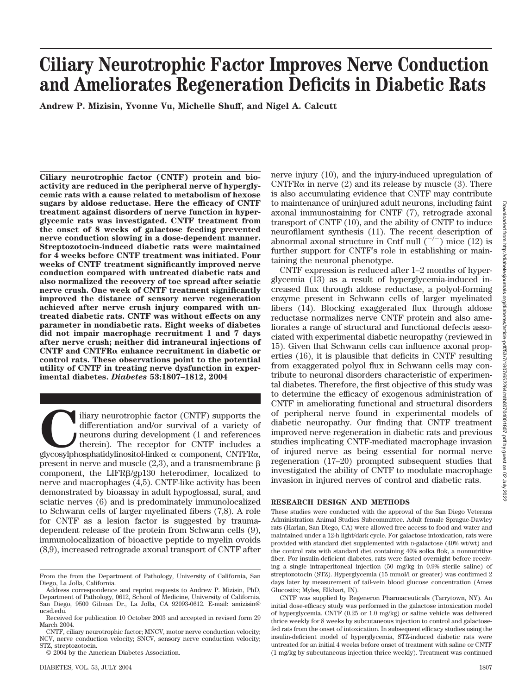# **Ciliary Neurotrophic Factor Improves Nerve Conduction and Ameliorates Regeneration Deficits in Diabetic Rats**

**Andrew P. Mizisin, Yvonne Vu, Michelle Shuff, and Nigel A. Calcutt**

**Ciliary neurotrophic factor (CNTF) protein and bioactivity are reduced in the peripheral nerve of hyperglycemic rats with a cause related to metabolism of hexose sugars by aldose reductase. Here the efficacy of CNTF treatment against disorders of nerve function in hyperglycemic rats was investigated. CNTF treatment from the onset of 8 weeks of galactose feeding prevented nerve conduction slowing in a dose-dependent manner. Streptozotocin-induced diabetic rats were maintained for 4 weeks before CNTF treatment was initiated. Four weeks of CNTF treatment significantly improved nerve conduction compared with untreated diabetic rats and also normalized the recovery of toe spread after sciatic nerve crush. One week of CNTF treatment significantly improved the distance of sensory nerve regeneration achieved after nerve crush injury compared with untreated diabetic rats. CNTF was without effects on any parameter in nondiabetic rats. Eight weeks of diabetes did not impair macrophage recruitment 1 and 7 days after nerve crush; neither did intraneural injections of CNTF** and **CNTFR** $\alpha$  enhance recruitment in diabetic or **control rats. These observations point to the potential utility of CNTF in treating nerve dysfunction in experimental diabetes.** *Diabetes* **53:1807–1812, 2004**

iliary neurotrophic factor (CNTF) supports the differentiation and/or survival of a variety of neurons during development (1 and references therein). The receptor for CNTF includes a glycosylphosphatidylinositol-linked  $\$ differentiation and/or survival of a variety of neurons during development (1 and references therein). The receptor for CNTF includes a present in nerve and muscle  $(2,3)$ , and a transmembrane  $\beta$ component, the LIFRß/gp130 heterodimer, localized to nerve and macrophages (4,5). CNTF-like activity has been demonstrated by bioassay in adult hypoglossal, sural, and sciatic nerves (6) and is predominately immunolocalized to Schwann cells of larger myelinated fibers (7,8). A role for CNTF as a lesion factor is suggested by traumadependent release of the protein from Schwann cells (9), immunolocalization of bioactive peptide to myelin ovoids (8,9), increased retrograde axonal transport of CNTF after

nerve injury (10), and the injury-induced upregulation of CNTFR $\alpha$  in nerve (2) and its release by muscle (3). There is also accumulating evidence that CNTF may contribute to maintenance of uninjured adult neurons, including faint axonal immunostaining for CNTF (7), retrograde axonal transport of CNTF (10), and the ability of CNTF to induce neurofilament synthesis (11). The recent description of abnormal axonal structure in Cntf null  $($ <sup>-/-</sup> $)$  mice (12) is further support for CNTF's role in establishing or maintaining the neuronal phenotype.

CNTF expression is reduced after 1–2 months of hyperglycemia (13) as a result of hyperglycemia-induced increased flux through aldose reductase, a polyol-forming enzyme present in Schwann cells of larger myelinated fibers (14). Blocking exaggerated flux through aldose reductase normalizes nerve CNTF protein and also ameliorates a range of structural and functional defects associated with experimental diabetic neuropathy (reviewed in 15). Given that Schwann cells can influence axonal properties (16), it is plausible that deficits in CNTF resulting from exaggerated polyol flux in Schwann cells may contribute to neuronal disorders characteristic of experimental diabetes. Therefore, the first objective of this study was to determine the efficacy of exogenous administration of CNTF in ameliorating functional and structural disorders of peripheral nerve found in experimental models of diabetic neuropathy. Our finding that CNTF treatment improved nerve regeneration in diabetic rats and previous studies implicating CNTF-mediated macrophage invasion of injured nerve as being essential for normal nerve regeneration (17–20) prompted subsequent studies that investigated the ability of CNTF to modulate macrophage invasion in injured nerves of control and diabetic rats.

### **RESEARCH DESIGN AND METHODS**

These studies were conducted with the approval of the San Diego Veterans Administration Animal Studies Subcommittee. Adult female Sprague-Dawley rats (Harlan, San Diego, CA) were allowed free access to food and water and maintained under a 12-h light/dark cycle. For galactose intoxication, rats were provided with standard diet supplemented with D-galactose (40% wt/wt) and the control rats with standard diet containing 40% solka flok, a nonnutritive fiber. For insulin-deficient diabetes, rats were fasted overnight before receiving a single intraperitoneal injection (50 mg/kg in 0.9% sterile saline) of streptozotocin (STZ). Hyperglycemia (15 mmol/l or greater) was confirmed 2 days later by measurement of tail-vein blood glucose concentration (Ames Glucostix; Myles, Elkhart, IN).

From the from the Department of Pathology, University of California, San Diego, La Jolla, California.

Address correspondence and reprint requests to Andrew P. Mizisin, PhD, Department of Pathology, 0612, School of Medicine, University of California, San Diego, 9500 Gilman Dr., La Jolla, CA 92093-0612. E-mail: amizisin@ ucsd.edu.

Received for publication 10 October 2003 and accepted in revised form 29 March 2004.

CNTF, ciliary neurotrophic factor; MNCV, motor nerve conduction velocity; NCV, nerve conduction velocity; SNCV, sensory nerve conduction velocity; STZ, streptozotocin.

<sup>© 2004</sup> by the American Diabetes Association.

CNTF was supplied by Regeneron Pharmaceuticals (Tarrytown, NY). An initial dose-efficacy study was performed in the galactose intoxication model of hyperglycemia. CNTF (0.25 or 1.0 mg/kg) or saline vehicle was delivered thrice weekly for 8 weeks by subcutaneous injection to control and galactosefed rats from the onset of intoxication. In subsequent efficacy studies using the insulin-deficient model of hyperglycemia, STZ-induced diabetic rats were untreated for an initial 4 weeks before onset of treatment with saline or CNTF (1 mg/kg by subcutaneous injection thrice weekly). Treatment was continued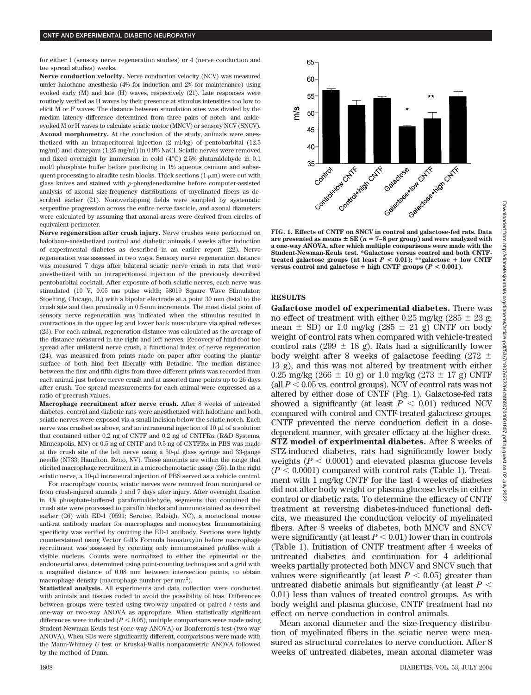for either 1 (sensory nerve regeneration studies) or 4 (nerve conduction and toe spread studies) weeks.

**Nerve conduction velocity.** Nerve conduction velocity (NCV) was measured under halothane anesthesia (4% for induction and 2% for maintenance) using evoked early (M) and late (H) waves, respectively (21). Late responses were routinely verified as H waves by their presence at stimulus intensities too low to elicit M or F waves. The distance between stimulation sites was divided by the median latency difference determined from three pairs of notch- and ankleevoked M or H waves to calculate sciatic motor (MNCV) or sensory NCV (SNCV). **Axonal morphometry.** At the conclusion of the study, animals were anesthetized with an intraperitoneal injection (2 ml/kg) of pentobarbital (12.5 mg/ml) and diazepam (1.25 mg/ml) in 0.9% NaCl. Sciatic nerves were removed and fixed overnight by immersion in cold (4°C) 2.5% glutaraldehyde in 0.1 mol/l phosphate buffer before postfixing in 1% aqueous osmium and subsequent processing to alradite resin blocks. Thick sections  $(1 \mu m)$  were cut with glass knives and stained with *p*-phenylenediamine before computer-assisted analysis of axonal size-frequency distributions of myelinated fibers as described earlier (21). Nonoverlapping fields were sampled by systematic serpentine progression across the entire nerve fascicle, and axonal diameters were calculated by assuming that axonal areas were derived from circles of equivalent perimeter.

**Nerve regeneration after crush injury.** Nerve crushes were performed on halothane-anesthetized control and diabetic animals 4 weeks after induction of experimental diabetes as described in an earlier report (22). Nerve regeneration was assessed in two ways. Sensory nerve regeneration distance was measured 7 days after bilateral sciatic nerve crush in rats that were anesthetized with an intraperitoneal injection of the previously described pentobarbital cocktail. After exposure of both sciatic nerves, each nerve was stimulated (10 V, 0.05 ms pulse width; 58019 Square Wave Stimulator; Stoelting, Chicago, IL) with a bipolar electrode at a point 30 mm distal to the crush site and then proximally in 0.5-mm increments. The most distal point of sensory nerve regeneration was indicated when the stimulus resulted in contractions in the upper leg and lower back musculature via spinal reflexes (23). For each animal, regeneration distance was calculated as the average of the distance measured in the right and left nerves. Recovery of hind-foot toe spread after unilateral nerve crush, a functional index of nerve regeneration (24), was measured from prints made on paper after coating the plantar surface of both hind feet liberally with Betadine. The median distance between the first and fifth digits from three different prints was recorded from each animal just before nerve crush and at assorted time points up to 26 days after crush. Toe spread measurements for each animal were expressed as a ratio of precrush values.

**Macrophage recruitment after nerve crush.** After 8 weeks of untreated diabetes, control and diabetic rats were anesthetized with halothane and both sciatic nerves were exposed via a small incision below the sciatic notch. Each nerve was crushed as above, and an intraneural injection of  $10 \mu$  of a solution that contained either 0.2 ng of CNTF and 0.2 ng of CNTFR $\alpha$  (R&D Systems, Minneapolis, MN) or 0.5 ng of CNTF and 0.5 ng of CNTFR $\alpha$  in PBS was made at the crush site of the left nerve using a  $50-\mu$  glass syringe and 33-gauge needle (N733; Hamilton, Reno, NV). These amounts are within the range that elicited macrophage recruitment in a microchemotactic assay (25). In the right sciatic nerve, a 10-µl intraneural injection of PBS served as a vehicle control.

For macrophage counts, sciatic nerves were removed from noninjured or from crush-injured animals 1 and 7 days after injury. After overnight fixation in 4% phosphate-buffered paraformaldehyde, segments that contained the crush site were processed to paraffin blocks and immunostained as described earlier (26) with ED-1 (0591; Serotec, Raleigh, NC), a monoclonal mouse anti-rat antibody marker for macrophages and monocytes. Immunostaining specificity was verified by omitting the ED-1 antibody. Sections were lightly counterstained using Vector Gill's Formula hematoxylin before macrophage recruitment was assessed by counting only immunostained profiles with a visible nucleus. Counts were normalized to either the epineurial or the endoneurial area, determined using point-counting techniques and a grid with a magnified distance of 0.08 mm between intersection points, to obtain macrophage density (macrophage number per mm<sup>2</sup>).

**Statistical analysis.** All experiments and data collection were conducted with animals and tissues coded to avoid the possibility of bias. Differences between groups were tested using two-way unpaired or paired *t* tests and one-way or two-way ANOVA as appropriate. When statistically significant differences were indicated  $(P < 0.05)$ , multiple comparisons were made using Student-Newman-Keuls test (one-way ANOVA) or Bonferroni's test (two-way ANOVA). When SDs were significantly different, comparisons were made with the Mann-Whitney *U* test or Kruskal-Wallis nonparametric ANOVA followed by the method of Dunn.



**FIG. 1. Effects of CNTF on SNCV in control and galactose-fed rats. Data** are presented as means  $\pm$  SE ( $n = 7-8$  per group) and were analyzed with **a one-way ANOVA, after which multiple comparisons were made with the Student-Newman-Keuls test. \*Galactose versus control and both CNTFtreated galactose groups (at least** *P* **< 0.01); \*\*galactose low CNTF versus control and galactose**  $+$  high CNTF groups ( $P < 0.001$ ).

#### **RESULTS**

**Galactose model of experimental diabetes.** There was no effect of treatment with either 0.25 mg/kg (285  $\pm$  23 g; mean  $\pm$  SD) or 1.0 mg/kg (285  $\pm$  21 g) CNTF on body weight of control rats when compared with vehicle-treated control rats (299  $\pm$  18 g). Rats had a significantly lower body weight after 8 weeks of galactose feeding  $(272 \pm$ 13 g), and this was not altered by treatment with either 0.25 mg/kg (266  $\pm$  10 g) or 1.0 mg/kg (273  $\pm$  17 g) CNTF (all  $P < 0.05$  vs. control groups). NCV of control rats was not altered by either dose of CNTF (Fig. 1). Galactose-fed rats showed a significantly (at least  $P < 0.01$ ) reduced NCV compared with control and CNTF-treated galactose groups. CNTF prevented the nerve conduction deficit in a dosedependent manner, with greater efficacy at the higher dose. **STZ model of experimental diabetes.** After 8 weeks of STZ-induced diabetes, rats had significantly lower body weights  $(P < 0.0001)$  and elevated plasma glucose levels  $(P < 0.0001)$  compared with control rats (Table 1). Treatment with 1 mg/kg CNTF for the last 4 weeks of diabetes did not alter body weight or plasma glucose levels in either control or diabetic rats. To determine the efficacy of CNTF treatment at reversing diabetes-induced functional deficits, we measured the conduction velocity of myelinated fibers. After 8 weeks of diabetes, both MNCV and SNCV were significantly (at least  $P < 0.01$ ) lower than in controls (Table 1). Initiation of CNTF treatment after 4 weeks of untreated diabetes and continuation for 4 additional weeks partially protected both MNCV and SNCV such that values were significantly (at least  $P < 0.05$ ) greater than untreated diabetic animals but significantly (at least  $P \leq$ 0.01) less than values of treated control groups. As with body weight and plasma glucose, CNTF treatment had no effect on nerve conduction in control animals.

Mean axonal diameter and the size-frequency distribution of myelinated fibers in the sciatic nerve were measured as structural correlates to nerve conduction. After 8 weeks of untreated diabetes, mean axonal diameter was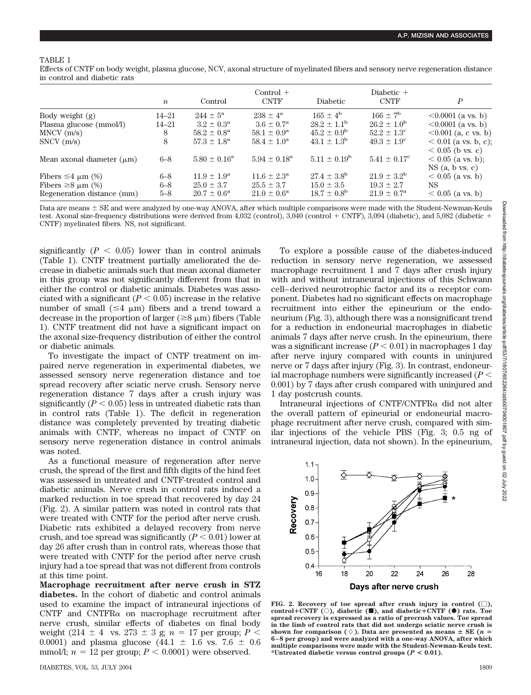#### TABLE 1

Effects of CNTF on body weight, plasma glucose, NCV, axonal structure of myelinated fibers and sensory nerve regeneration distance in control and diabetic rats

|                                | $\boldsymbol{n}$ | Control                 | $Control +$<br><b>CNTF</b> | <b>Diabetic</b>         | Diabetic $+$<br><b>CNTF</b> | $\boldsymbol{P}$                             |
|--------------------------------|------------------|-------------------------|----------------------------|-------------------------|-----------------------------|----------------------------------------------|
| Body weight $(g)$              | $14 - 21$        | $244 \pm 5^{\circ}$     | $238 \pm 4^{\rm a}$        | $165 \pm 4^{\rm b}$     | $166 \pm 7^{\rm b}$         | $\leq 0.0001$ (a vs. b)                      |
| Plasma glucose (mmol/l)        | $14 - 21$        | $3.2 \pm 0.3^{\rm a}$   | $3.6 \pm 0.7^{\rm a}$      | $28.2 \pm 1.1^{\rm b}$  | $26.2 \pm 1.0^{\rm b}$      | $\leq 0.0001$ (a vs. b)                      |
| $MNCV$ (m/s)                   | 8                | $58.2 \pm 0.8^{\rm a}$  | $58.1 \pm 0.9^{\rm a}$     | $45.2 \pm 0.9^{\rm b}$  | $52.2 \pm 1.3^{\circ}$      | $< 0.001$ (a, c vs. b)                       |
| $SNCV$ (m/s)                   | 8                | $57.3 \pm 1.8^{\rm a}$  | $58.4 \pm 1.0^{\rm a}$     | $43.1 \pm 1.3^{\rm b}$  | $49.3 \pm 1.9^{\circ}$      | $< 0.01$ (a vs. b, c);<br>$< 0.05$ (b vs. c) |
| Mean axonal diameter $(\mu m)$ | $6 - 8$          | $5.80 \pm 0.16^{\rm a}$ | $5.94 \pm 0.18^{\rm a}$    | $5.11 \pm 0.19^{\rm b}$ | $5.41 \pm 0.17^{\circ}$     | $< 0.05$ (a vs. b);<br>NS(a, b vs. c)        |
| Fibers $\leq 4 \mu m$ (%)      | $6 - 8$          | $11.9 \pm 1.9^{\rm a}$  | $11.6 \pm 2.3^{\rm a}$     | $27.4 \pm 3.8^{\rm b}$  | $21.9 \pm 3.2^{\rm b}$      | $< 0.05$ (a vs. b)                           |
| Fibers $\geq 8 \mu m$ (%)      | $6 - 8$          | $25.0 \pm 3.7$          | $25.5 \pm 3.7$             | $15.0 \pm 3.5$          | $19.3 \pm 2.7$              | NS.                                          |
| Regeneration distance (mm)     | $5 - 8$          | $20.7 \pm 0.6^{\rm a}$  | $21.0 \pm 0.6^{\rm a}$     | $18.7 \pm 0.8^{\rm b}$  | $21.9 \pm 0.7^{\rm a}$      | $< 0.05$ (a vs. b)                           |

Data are means  $\pm$  SE and were analyzed by one-way ANOVA, after which multiple comparisons were made with the Student-Newman-Keuls test. Axonal size-frequency distributions were derived from  $4,032$  (control),  $3,040$  (control + CNTF),  $3,094$  (diabetic), and  $5,082$  (diabetic + CNTF) myelinated fibers. NS, not significant.

significantly  $(P < 0.05)$  lower than in control animals (Table 1). CNTF treatment partially ameliorated the decrease in diabetic animals such that mean axonal diameter in this group was not significantly different from that in either the control or diabetic animals. Diabetes was associated with a significant  $(P < 0.05)$  increase in the relative number of small  $(\leq 4 \mu m)$  fibers and a trend toward a decrease in the proportion of larger  $(\geq 8 \,\mu\text{m})$  fibers (Table 1). CNTF treatment did not have a significant impact on the axonal size-frequency distribution of either the control or diabetic animals.

To investigate the impact of CNTF treatment on impaired nerve regeneration in experimental diabetes, we assessed sensory nerve regeneration distance and toe spread recovery after sciatic nerve crush. Sensory nerve regeneration distance 7 days after a crush injury was significantly  $(P < 0.05)$  less in untreated diabetic rats than in control rats (Table 1). The deficit in regeneration distance was completely prevented by treating diabetic animals with CNTF, whereas no impact of CNTF on sensory nerve regeneration distance in control animals was noted.

As a functional measure of regeneration after nerve crush, the spread of the first and fifth digits of the hind feet was assessed in untreated and CNTF-treated control and diabetic animals. Nerve crush in control rats induced a marked reduction in toe spread that recovered by day 24 (Fig. 2). A similar pattern was noted in control rats that were treated with CNTF for the period after nerve crush. Diabetic rats exhibited a delayed recovery from nerve crush, and toe spread was significantly  $(P < 0.01)$  lower at day 26 after crush than in control rats, whereas those that were treated with CNTF for the period after nerve crush injury had a toe spread that was not different from controls at this time point.

**Macrophage recruitment after nerve crush in STZ diabetes.** In the cohort of diabetic and control animals used to examine the impact of intraneural injections of CNTF and CNTFR $\alpha$  on macrophage recruitment after nerve crush, similar effects of diabetes on final body weight (214  $\pm$  4 vs. 273  $\pm$  3 g; *n* = 17 per group; *P* < 0.0001) and plasma glucose (44.1  $\pm$  1.6 vs. 7.6  $\pm$  0.6 mmol/l;  $n = 12$  per group;  $P < 0.0001$ ) were observed.

To explore a possible cause of the diabetes-induced reduction in sensory nerve regeneration, we assessed macrophage recruitment 1 and 7 days after crush injury with and without intraneural injections of this Schwann cell–derived neurotrophic factor and its  $\alpha$  receptor component. Diabetes had no significant effects on macrophage recruitment into either the epineurium or the endoneurium (Fig. 3), although there was a nonsignificant trend for a reduction in endoneurial macrophages in diabetic animals 7 days after nerve crush. In the epineurium, there was a significant increase  $(P < 0.01)$  in macrophages 1 day after nerve injury compared with counts in uninjured nerve or 7 days after injury (Fig. 3). In contrast, endoneurial macrophage numbers were significantly increased (*P* 0.001) by 7 days after crush compared with uninjured and 1 day postcrush counts.

Intraneural injections of CNTF/CNTFR $\alpha$  did not alter the overall pattern of epineurial or endoneurial macrophage recruitment after nerve crush, compared with similar injections of the vehicle PBS (Fig. 3; 0.5 ng of intraneural injection, data not shown). In the epineurium,



**FIG. 2. Recovery of toe spread after crush injury in control**  $(\Box)$ **, controlCNTF (**E**), diabetic (**f**), and diabeticCNTF (**F**) rats. Toe spread recovery is expressed as a ratio of precrush values. Toe spread in the limb of control rats that did not undergo sciatic nerve crush is** shown for comparison ( $\Diamond$ ). Data are presented as means  $\pm$  SE ( $n =$ **6–8 per group) and were analyzed with a one-way ANOVA, after which multiple comparisons were made with the Student-Newman-Keuls test. \*Untreated diabetic versus control groups (***P* **< 0.01).**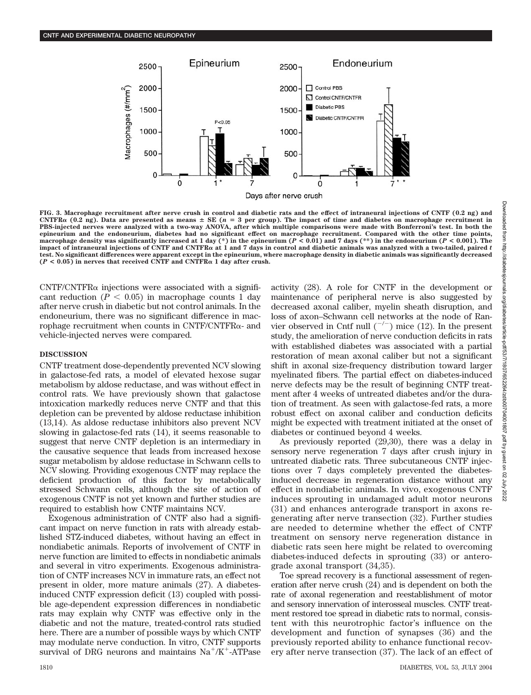

**FIG. 3. Macrophage recruitment after nerve crush in control and diabetic rats and the effect of intraneural injections of CNTF (0.2 ng) and**  $\text{CNTFRx}$  (0.2 ng). Data are presented as means  $\pm$  SE ( $n = 3$  per group). The impact of time and diabetes on macrophage recruitment in **PBS-injected nerves were analyzed with a two-way ANOVA, after which multiple comparisons were made with Bonferroni's test. In both the epineurium and the endoneurium, diabetes had no significant effect on macrophage recruitment. Compared with the other time points, macrophage density was significantly increased at 1 day (\*) in the epineurium (** $P < 0.01$ **) and 7 days (\*\*) in the endoneurium (** $P < 0.001$ **). The** impact of intraneural injections of CNTF and CNTFR<sub>Q</sub> at 1 and 7 days in control and diabetic animals was analyzed with a two-tailed, paired t **test. No significant differences were apparent except in the epineurium, where macrophage density in diabetic animals was significantly decreased**  $(P < 0.05)$  in nerves that received CNTF and CNTFR $\alpha$  1 day after crush.

 $C\text{NTF/CNTFR}\alpha$  injections were associated with a significant reduction  $(P < 0.05)$  in macrophage counts 1 day after nerve crush in diabetic but not control animals. In the endoneurium, there was no significant difference in macrophage recruitment when counts in CNTF/CNTFR $\alpha$ - and vehicle-injected nerves were compared.

#### **DISCUSSION**

CNTF treatment dose-dependently prevented NCV slowing in galactose-fed rats, a model of elevated hexose sugar metabolism by aldose reductase, and was without effect in control rats. We have previously shown that galactose intoxication markedly reduces nerve CNTF and that this depletion can be prevented by aldose reductase inhibition (13,14). As aldose reductase inhibitors also prevent NCV slowing in galactose-fed rats (14), it seems reasonable to suggest that nerve CNTF depletion is an intermediary in the causative sequence that leads from increased hexose sugar metabolism by aldose reductase in Schwann cells to NCV slowing. Providing exogenous CNTF may replace the deficient production of this factor by metabolically stressed Schwann cells, although the site of action of exogenous CNTF is not yet known and further studies are required to establish how CNTF maintains NCV.

Exogenous administration of CNTF also had a significant impact on nerve function in rats with already established STZ-induced diabetes, without having an effect in nondiabetic animals. Reports of involvement of CNTF in nerve function are limited to effects in nondiabetic animals and several in vitro experiments. Exogenous administration of CNTF increases NCV in immature rats, an effect not present in older, more mature animals (27). A diabetesinduced CNTF expression deficit (13) coupled with possible age-dependent expression differences in nondiabetic rats may explain why CNTF was effective only in the diabetic and not the mature, treated-control rats studied here. There are a number of possible ways by which CNTF may modulate nerve conduction. In vitro, CNTF supports survival of DRG neurons and maintains  $Na^+/K^+$ -ATPase activity (28). A role for CNTF in the development or maintenance of peripheral nerve is also suggested by decreased axonal caliber, myelin sheath disruption, and loss of axon–Schwann cell networks at the node of Ranvier observed in Cntf null  $\binom{-1}{-}$  mice (12). In the present study, the amelioration of nerve conduction deficits in rats with established diabetes was associated with a partial restoration of mean axonal caliber but not a significant shift in axonal size-frequency distribution toward larger myelinated fibers. The partial effect on diabetes-induced nerve defects may be the result of beginning CNTF treatment after 4 weeks of untreated diabetes and/or the duration of treatment. As seen with galactose-fed rats, a more robust effect on axonal caliber and conduction deficits might be expected with treatment initiated at the onset of diabetes or continued beyond 4 weeks.

As previously reported (29,30), there was a delay in sensory nerve regeneration 7 days after crush injury in untreated diabetic rats. Three subcutaneous CNTF injections over 7 days completely prevented the diabetesinduced decrease in regeneration distance without any effect in nondiabetic animals. In vivo, exogenous CNTF induces sprouting in undamaged adult motor neurons (31) and enhances anterograde transport in axons regenerating after nerve transection (32). Further studies are needed to determine whether the effect of CNTF treatment on sensory nerve regeneration distance in diabetic rats seen here might be related to overcoming diabetes-induced defects in sprouting (33) or anterograde axonal transport (34,35).

Toe spread recovery is a functional assessment of regeneration after nerve crush (24) and is dependent on both the rate of axonal regeneration and reestablishment of motor and sensory innervation of interosseal muscles. CNTF treatment restored toe spread in diabetic rats to normal, consistent with this neurotrophic factor's influence on the development and function of synapses (36) and the previously reported ability to enhance functional recovery after nerve transection (37). The lack of an effect of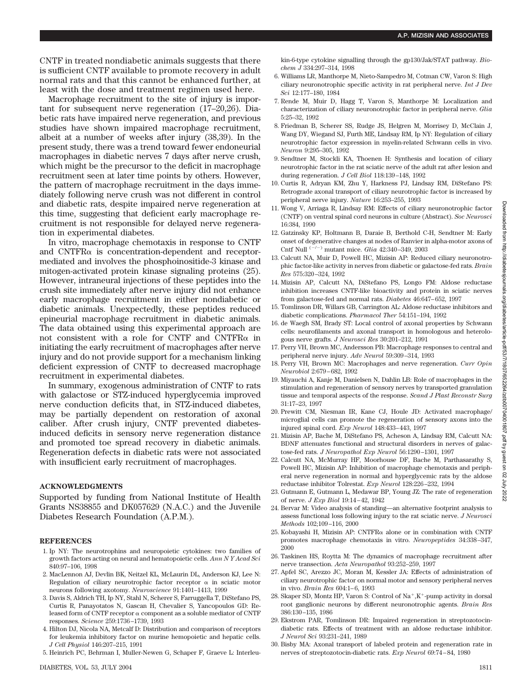CNTF in treated nondiabetic animals suggests that there is sufficient CNTF available to promote recovery in adult normal rats and that this cannot be enhanced further, at least with the dose and treatment regimen used here.

Macrophage recruitment to the site of injury is important for subsequent nerve regeneration (17–20,26). Diabetic rats have impaired nerve regeneration, and previous studies have shown impaired macrophage recruitment, albeit at a number of weeks after injury (38,39). In the present study, there was a trend toward fewer endoneurial macrophages in diabetic nerves 7 days after nerve crush, which might be the precursor to the deficit in macrophage recruitment seen at later time points by others. However, the pattern of macrophage recruitment in the days immediately following nerve crush was not different in control and diabetic rats, despite impaired nerve regeneration at this time, suggesting that deficient early macrophage recruitment is not responsible for delayed nerve regeneration in experimental diabetes.

In vitro, macrophage chemotaxis in response to CNTF and CNTFR $\alpha$  is concentration-dependent and receptormediated and involves the phosphoinositide-3 kinase and mitogen-activated protein kinase signaling proteins (25). However, intraneural injections of these peptides into the crush site immediately after nerve injury did not enhance early macrophage recruitment in either nondiabetic or diabetic animals. Unexpectedly, these peptides reduced epineurial macrophage recruitment in diabetic animals. The data obtained using this experimental approach are not consistent with a role for CNTF and CNTFR $\alpha$  in initiating the early recruitment of macrophages after nerve injury and do not provide support for a mechanism linking deficient expression of CNTF to decreased macrophage recruitment in experimental diabetes.

In summary, exogenous administration of CNTF to rats with galactose or STZ-induced hyperglycemia improved nerve conduction deficits that, in STZ-induced diabetes, may be partially dependent on restoration of axonal caliber. After crush injury, CNTF prevented diabetesinduced deficits in sensory nerve regeneration distance and promoted toe spread recovery in diabetic animals. Regeneration defects in diabetic rats were not associated with insufficient early recruitment of macrophages.

## **ACKNOWLEDGMENTS**

Supported by funding from National Institute of Health Grants NS38855 and DK057629 (N.A.C.) and the Juvenile Diabetes Research Foundation (A.P.M.).

#### **REFERENCES**

- 1. Ip NY: The neurotrophins and neuropoietic cytokines: two families of growth factors acting on neural and hematopoietic cells. *Ann N Y Acad Sci* 840:97–106, 1998
- 2. MacLennon AJ, Devlin BK, Neitzel KL, McLaurin DL, Anderson KJ, Lee N: Regulation of ciliary neurotrophic factor receptor  $\alpha$  in sciatic motor neurons following axotomy. *Neuroscience* 91:1401–1413, 1999
- 3. Davis S, Aldrich TH, Ip NY, Stahl N, Scherer S, Farruggella T, DiStefano PS, Curtis R, Panayotatos N, Gascan H, Chevalier S, Yancopoulos GD: Released form of CNTF receptor  $\alpha$  component as a soluble mediator of CNTF responses. *Science* 259:1736–1739, 1993
- 4. Hilton DJ, Nicola NA, Metcalf D: Distribution and comparison of receptors for leukemia inhibitory factor on murine hemopoietic and hepatic cells. *J Cell Physiol* 146:207–215, 1991
- 5. Heinrich PC, Behrman I, Muller-Newen G, Schaper F, Graeve L: Interleu-

kin-6-type cytokine signalling through the gp130/Jak/STAT pathway. *Biochem J* 334:297–314, 1998

- 6. Williams LR, Manthorpe M, Nieto-Sampedro M, Cotman CW, Varon S: High ciliary neuronotrophic specific activity in rat peripheral nerve. *Int J Dev Sci* 12:177–180, 1984
- 7. Rende M, Muir D, Hagg T, Varon S, Manthorpe M: Localization and characterization of ciliary neuronotrophic factor in peripheral nerve. *Glia* 5:25–32, 1992
- 8. Friedman B, Scherer SS, Rudge JS, Helgren M, Morrisey D, McClain J, Wang DY, Wiegand SJ, Furth ME, Lindsay RM, Ip NY: Regulation of ciliary neurotrophic factor expression in myelin-related Schwann cells in vivo. *Neuron* 9:295–305, 1992
- 9. Sendtner M, Stockli KA, Thoenen H: Synthesis and location of ciliary neurotrophic factor in the rat sciatic nerve of the adult rat after lesion and during regeneration. *J Cell Biol* 118:139–148, 1992
- 10. Curtis R, Adryan KM, Zhu Y, Harkness PJ, Lindsay RM, DiStefano PS: Retrograde axonal transport of ciliary neurotrophic factor is increased by peripheral nerve injury. *Nature* 16:253–255, 1993
- 11. Wong V, Arriaga R, Lindsay RM: Effects of ciliary neuronotrophic factor (CNTF) on ventral spinal cord neurons in culture (Abstract). *Soc Neurosci* 16:384, 1990
- 12. Gatzinsky KP, Holtmann B, Daraie B, Berthold C-H, Sendtner M: Early onset of degenerative changes at nodes of Ranvier in alpha-motor axons of Cntf Null<sup>(-/-)</sup> mutant mice. *Glia* 42:340-349, 2003
- 13. Calcutt NA, Muir D, Powell HC, Mizisin AP: Reduced ciliary neuronotrophic factor-like activity in nerves from diabetic or galactose-fed rats. *Brain Res* 575:320–324, 1992
- 14. Mizisin AP, Calcutt NA, DiStefano PS, Longo FM: Aldose reductase inhibition increases CNTF-like bioactivity and protein in sciatic nerves from galactose-fed and normal rats. *Diabetes* 46:647–652, 1997
- 15. Tomlinson DR, Willars GB, Carrington AL: Aldose reductase inhibitors and diabetic complications. *Pharmacol Ther* 54:151–194, 1992
- 16. de Waegh SM, Brady ST: Local control of axonal properties by Schwann cells: neurofilaments and axonal transport in homologous and heterologous nerve grafts. *J Neurosci Res* 30:201–212, 1991
- 17. Perry VH, Brown MC, Andersson PB: Macrophage responses to central and peripheral nerve injury. *Adv Neurol* 59:309–314, 1993
- 18. Perry VH, Brown MC: Macrophages and nerve regeneration. *Curr Opin Neurobiol* 2:679–682, 1992
- 19. Miyauchi A, Kanje M, Danielsen N, Dahlin LB: Role of macrophages in the stimulation and regeneration of sensory nerves by transported granulation tissue and temporal aspects of the response. *Scand J Plast Reconstr Surg* 31:17–23, 1997
- 20. Prewitt CM, Niesman IR, Kane CJ, Houle JD: Activated macrophage/ microglial cells can promote the regeneration of sensory axons into the injured spinal cord. *Exp Neurol* 148:433–443, 1997
- 21. Mizisin AP, Bache M, DiStefano PS, Acheson A, Lindsay RM, Calcutt NA: BDNF attenuates functional and structural disorders in nerves of galactose-fed rats. *J Neuropathol Exp Neurol* 56:1290–1301, 1997
- 22. Calcutt NA, McMurray HF, Moorhouse DF, Bache M, Parthasarathy S, Powell HC, Mizisin AP: Inhibition of macrophage chemotaxis and peripheral nerve regeneration in normal and hyperglycemic rats by the aldose reductase inhibitor Tolrestat. *Exp Neurol* 128:226–232, 1994
- 23. Gutmann E, Gutmann L, Medawar BP, Young JZ: The rate of regeneration of nerve. *J Exp Biol* 19:14–42, 1942
- 24. Bervar M: Video analysis of standing—an alternative footprint analysis to assess functional loss following injury to the rat sciatic nerve. *J Neurosci Methods* 102;109–116, 2000
- 25. Kobayashi H, Mizisin AP: CNTFR $\alpha$  alone or in combination with CNTF promotes macrophage chemotaxis in vitro. *Neuropeptides* 34:338–347, 2000
- 26. Taskinen HS, Roytta M: The dynamics of macrophage recruitment after nerve transection. *Acta Neuropathol* 93:252–259, 1997
- 27. Apfel SC, Arezzo JC, Moran M, Kessler JA: Effects of administration of ciliary neurotrophic factor on normal motor and sensory peripheral nerves in vivo. *Brain Res* 604:1–6, 1993
- 28. Skaper SD, Montz HP, Varon S: Control of  $Na^+, K^+$ -pump activity in dorsal root ganglionic neurons by different neuronotrophic agents. *Brain Res* 386:130–135, 1986
- 29. Ekstrom PAR, Tomlinson DR: Impaired regeneration in streptozotocindiabetic rats. Effects of treatment with an aldose reductase inhibitor. *J Neurol Sci* 93:231–241, 1989
- 30. Bisby MA: Axonal transport of labeled protein and regeneration rate in nerves of streptozotocin-diabetic rats. *Exp Neurol* 69:74–84, 1980